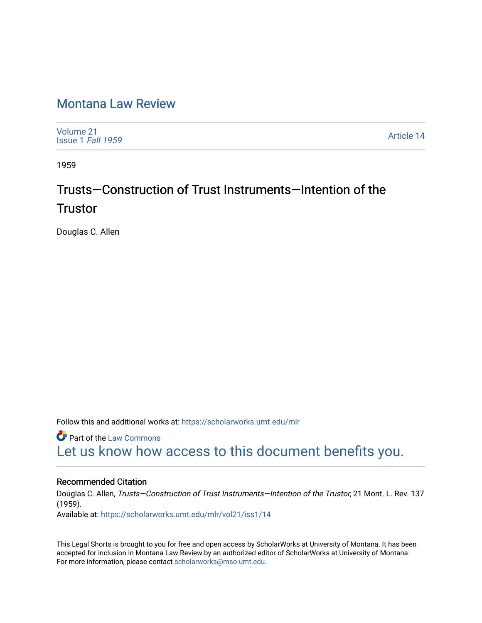## [Montana Law Review](https://scholarworks.umt.edu/mlr)

[Volume 21](https://scholarworks.umt.edu/mlr/vol21) [Issue 1](https://scholarworks.umt.edu/mlr/vol21/iss1) Fall 1959

[Article 14](https://scholarworks.umt.edu/mlr/vol21/iss1/14) 

1959

## Trusts—Construction of Trust Instruments—Intention of the **Trustor**

Douglas C. Allen

Follow this and additional works at: [https://scholarworks.umt.edu/mlr](https://scholarworks.umt.edu/mlr?utm_source=scholarworks.umt.edu%2Fmlr%2Fvol21%2Fiss1%2F14&utm_medium=PDF&utm_campaign=PDFCoverPages) 

**C** Part of the [Law Commons](http://network.bepress.com/hgg/discipline/578?utm_source=scholarworks.umt.edu%2Fmlr%2Fvol21%2Fiss1%2F14&utm_medium=PDF&utm_campaign=PDFCoverPages) [Let us know how access to this document benefits you.](https://goo.gl/forms/s2rGfXOLzz71qgsB2) 

## Recommended Citation

Douglas C. Allen, Trusts—Construction of Trust Instruments—Intention of the Trustor, 21 Mont. L. Rev. 137 (1959). Available at: [https://scholarworks.umt.edu/mlr/vol21/iss1/14](https://scholarworks.umt.edu/mlr/vol21/iss1/14?utm_source=scholarworks.umt.edu%2Fmlr%2Fvol21%2Fiss1%2F14&utm_medium=PDF&utm_campaign=PDFCoverPages)

This Legal Shorts is brought to you for free and open access by ScholarWorks at University of Montana. It has been accepted for inclusion in Montana Law Review by an authorized editor of ScholarWorks at University of Montana. For more information, please contact [scholarworks@mso.umt.edu.](mailto:scholarworks@mso.umt.edu)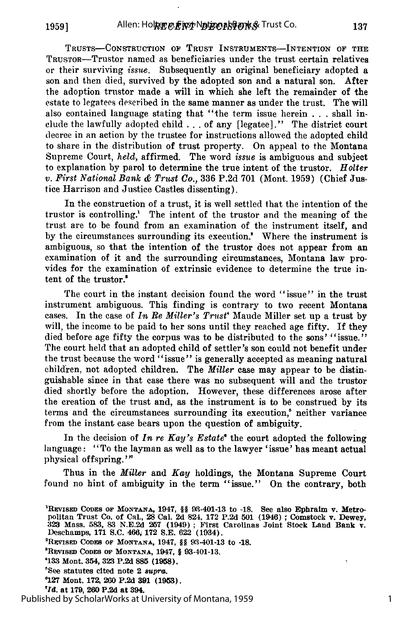**TRUSTS-CONSTRUCTION OF** TRUST INSTRUMENTS--INTENTION **OF THE** TRUSTOR-Trustor named as beneficiaries under the trust certain relatives or their surviving *issue*. Subsequently an original beneficiary adopted a son and then died, survived by the adopted son and a natural son. After the adoption trustor made a will in which she left the remainder of the estate to legatees described in the same manner as under the trust. The will also contained language stating that "the term issue herein . . . shall include the lawfully adopted child **. . .** of any [legatee]." The district court decree in an action by the trustee for instructions allowed the adopted child to share in the distribution of trust property. On appeal to the Montana Supreme Court, *held,* affirmed. The word *issue* is ambiguous and subject to explanation by parol to determine the true intent of the trustor. *Holter v. First National Bank & Trust Co.,* 336 P.2d 701 (Mont. 1959) (Chief Justice Harrison and Justice Castles dissenting).

In the construction of a trust, it is well settled that the intention of the trustor is controlling.' The intent of the trustor and the meaning of the trust are to be found from an examination of the instrument itself, and by the circumstances surrounding its execution.\* Where the instrument is ambiguous, so that the intention of the trustor does not appear from an examination of it and the surrounding circumstances, Montana law provides for the examination of extrinsic evidence to determine the true intent of the trustor.'

The court in the instant decision found the word "issue" in the trust instrument ambiguous. This finding is contrary to two recent Montana cases. In the case of *In Re Miller's Trust'* Maude Miller set up a trust by will, the income to be paid to her sons until they reached age fifty. If they died before age fifty the corpus was to be distributed to the sons' "issue." The court held that an adopted child of settler's son could not benefit under the trust because the word "issue" is generally accepted as meaning natural children, not adopted children. The *Miller* case may appear to be distinguishable since in that case there was no subsequent will and the trustor died shortly before the adoption. However, these differences arose after the creation of the trust and, as the instrument is to be construed by its terms and the circumstances surrounding its execution,' neither variance from the instant case bears upon the question of ambiguity.

In the decision of *In re Kay's Estate°* the court adopted the following language: "To the layman as well as to the lawyer 'issue' has meant actual physical offspring.'"

Thus in the *Miller* and *Kay* holdings, the Montana Supreme Court found no hint of ambiguity in the term "issue." On the contrary, both

- **'REsEv CODES OF MONTANA,** 1947, §§ 93401-13 **to -18.**
- **3R1visaD CODES OF MONTANA, 1947,** § **93-401-13.**
- **4133 Mont. 354, 323 P.2d 885 (1958).**
- **'See statutes cited note 2 8uprG.**
- **127 Mont. 172, 260 P.2d 391 (1953).**
- **'rd. at 179, 260 P.2d at 394.**

Published by ScholarWorks at University of Montana, 1959

1

**REVISED CODES OF MONTANA, 1947, §§ 93-401-13 to -18. See also Ephraim v. Metro-** politan Trust Co. of Cal., 28 Cal. 2d 824. 172 P.2d 501 (1946) ; Comstock v. Dewey, **<sup>323</sup>**Mass. **583, 8.3 N.E.2d 257 (1949) ;** First Carolinas Joint Stock **Land Bank** v. Deschamps, **171 S.C. 466, 172 S.E. 622 (1934).**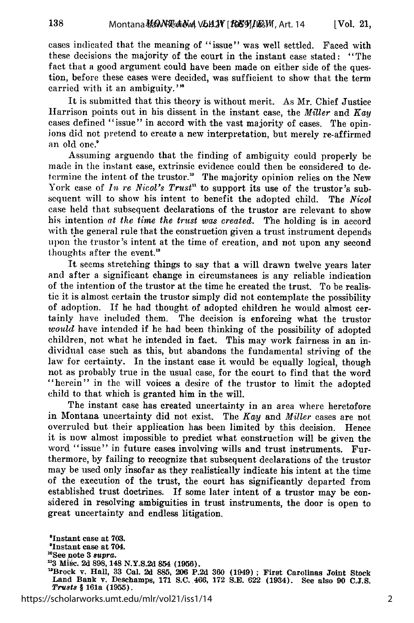cases indicated that the meaning of "issue" was well settled. Faced with these decisions the majority of the court in the instant case stated: "The fact that a good argument could have been made on either side of the question, before these cases were decided, was sufficient to show that the term carried with it an ambiguity.'<sup>8</sup>

138

It is submitted that this theory is without merit. As Mr. Chief Justice Harrison points out in his dissent in the instant case, the *Miller* and *Kay* cases defined "issue" in accord with the vast majority of cases. The opinions did not pretend to create a new interpretation, but merely re-affirmed an old one.<sup>9</sup>

Assuming arguendo that the finding of ambiguity could properly be made in the instant case, extrinsic evidence could then be considered to determine the intent of the trustor." The majority opinion relies on the New York case of *In re Nicol's Trust*<sup>11</sup> to support its use of the trustor's subsequent will to show his intent to benefit the adopted child. The *Nicol* case held that subsequent declarations of the trustor are relevant to show his intention *at the time the trust was created.* The holding is in accord with the general rule that the construction given a trust instrument depends upon the trustor's intent at the time of creation, and not upon any second thoughts after the event.'

It seems stretching things to say that a will drawn twelve years later and after a significant change in circumstances is any reliable indication of the intention of the trustor at the time he created the trust. To be realistic it is almost certain the trustor simply did not contemplate the possibility of adoption. If he had thought of adopted children he would almost certainly have included them. The decision is enforcing what the trustor *would* have intended if he had been thinking of the possibility of adopted children, not what he intended in fact. This may work fairness in an individual case such as this, but abandons the fundamental striving of the law for certainty. In the instant case it would be equally logical, though not as probably true in the usual case, for the court to find that the word "herein" in the will voices a desire of the trustor to limit the adopted child to that which is granted him in the will.

The instant case has created uncertainty in an area where heretofore in Montana uncertainty did not exist. The *Kay* and *Miller* cases are not overruled but their application has been limited by this decision. Hence it is now almost impossible to predict what construction will be given the word "issue" in future cases involving wills and trust instruments. Furthermore, by failing to recognize that subsequent declarations of the trustor may be used only insofar as they realistically indicate his intent at the time of the execution of the trust, the court has significantly departed from established trust doctrines. If some later intent of a trustor may be considered in resolving ambiguities in trust instruments, the door is open to great uncertainty and endless litigation.

aInstant case at **703.** 'Instant case **at 704. " 0See** note **3** 8upra. **113 Misc. 2d 898, 148 N.Y.S.2d** 854 **(1956).** 'Brock v. Hall, **33** Cal. **2d 885, 206 P.2d 360** (1949) **; First** Carolinas **Joint** Stock **Land** Bank v. Deschamps, **171 S.C. 466, 172 S.E. 622** (1934). See also **90 C.J.S.** *Trusts §* 161a **(1955).**